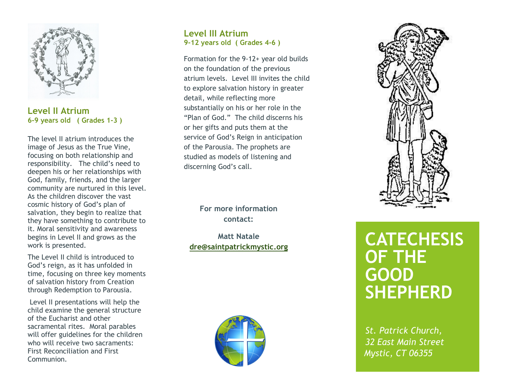

## Level II Atrium 6-9 years old ( Grades 1-3 )

The level II atrium introduces the image of Jesus as the True Vine, focusing on both relationship and responsibility. The child's need to deepen his or her relationships with God, family, friends, and the larger community are nurtured in this level. As the children discover the vast cosmic history of God's plan of salvation, they begin to realize that they have something to contribute to it. Moral sensitivity and awareness begins in Level II and grows as the work is presented.

The Level II child is introduced to God's reign, as it has unfolded in time, focusing on three key moments of salvation history from Creation through Redemption to Parousia.

 Level II presentations will help the child examine the general structure of the Eucharist and other sacramental rites. Moral parables will offer guidelines for the children who will receive two sacraments: First Reconciliation and First Communion.

## Level III Atrium 9-12 years old ( Grades 4-6 )

Formation for the 9-12+ year old builds on the foundation of the previous atrium levels. Level III invites the child to explore salvation history in greater detail, while reflecting more substantially on his or her role in the "Plan of God." The child discerns his or her gifts and puts them at the service of God's Reign in anticipation of the Parousia. The prophets are studied as models of listening and discerning God's call.

> For more information contact:

Matt Natale dre@saintpatrickmystic.org





## **CATECHESIS** OF THE GOOD SHEPHERD

St. Patrick Church, 32 East Main Street Mystic, CT 06355